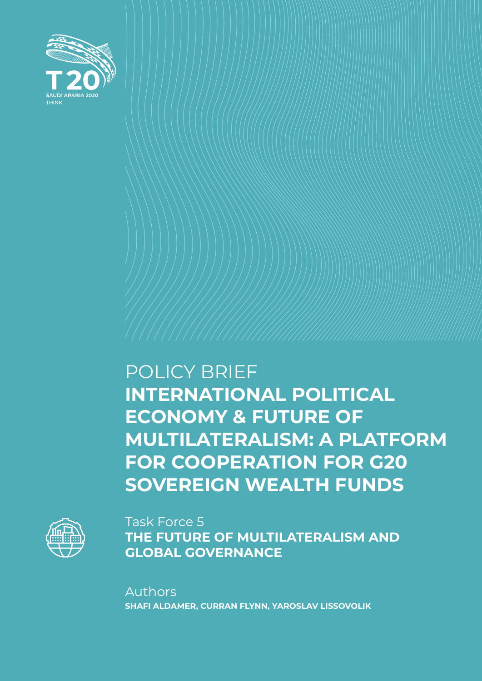

# POLICY BRIEF **INTERNATIONAL POLITICAL ECONOMY & FUTURE OF MULTILATERALISM: A PLATFORM FOR COOPERATION FOR G20 SOVEREIGN WEALTH FUNDS**



Task Force 5 **THE FUTURE OF MULTILATERALISM AND GLOBAL GOVERNANCE**

Authors **SHAFI ALDAMER, CURRAN FLYNN, YAROSLAV LISSOVOLIK**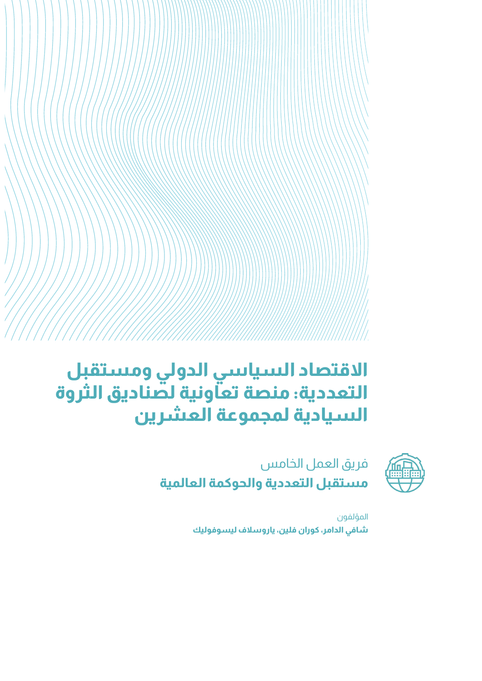## **االقتصاد السياسي الدولي ومستقبل التعددية: منصة تعاونية لصناديق الثروة السيادية لمجموعة العشرين**



فريق العمل الخامس **مستقبل التعددية والحوكمة العالمية**

> المؤلفون **شافي الدامر، كوران فلين، ياروسالف ليسوفوليك**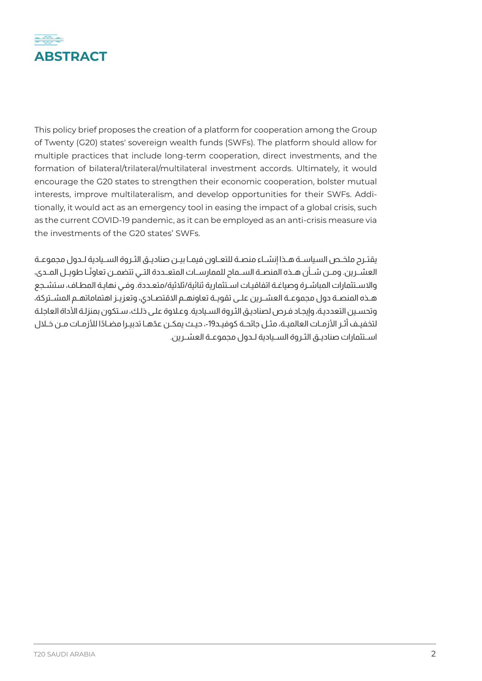

This policy brief proposes the creation of a platform for cooperation among the Group of Twenty (G20) states' sovereign wealth funds (SWFs). The platform should allow for multiple practices that include long-term cooperation, direct investments, and the formation of bilateral/trilateral/multilateral investment accords. Ultimately, it would encourage the G20 states to strengthen their economic cooperation, bolster mutual interests, improve multilateralism, and develop opportunities for their SWFs. Additionally, it would act as an emergency tool in easing the impact of a global crisis, such as the current COVID-19 pandemic, as it can be employed as an anti-crisis measure via the investments of the G20 states' SWFs.

يقتــرح ملخــص السياســة هــذا إنشــاء منصــة للتعــاون فيمــا بيــن صناديــق الثــروة الســيادية لــدول مجموعــة العشــرين. ومــن شــأن هــذه المنصــة الســماح للممارســات المتعــددة التــى تتضمــن تعاونًــا طويــل المــدى، واالسـتثمارات المباشـرة وصياغـة اتفاقيـات اسـتثمارية ثنائية/ثالثية/متعـددة. وفـي نهايـة المطـاف، ستشـجع هــذه المنصــة دول مجموعــة العشــرين علــى تقويــة تعاونهــم االقتصــادي، وتعزيــز اهتماماتهــم المشــتركة، وتحسـين التعدديـة، وإيجـاد فـرص لصناديـق الثـروة السـيادية. وعـاوة علـى ذلـك، سـتكون بمنزلـة األداة العاجلـة لتخفيـف أثـر الأزمـات العالميــة، مثـل حائحــة كوفيــد19-، حيــث يمكــن عدّهــا تدبيـرا مضـادًا للأزمــات مــن خــلال اســتثمارات صناديــق الثــروة الســيادية لــدول مجموعــة العشــرين.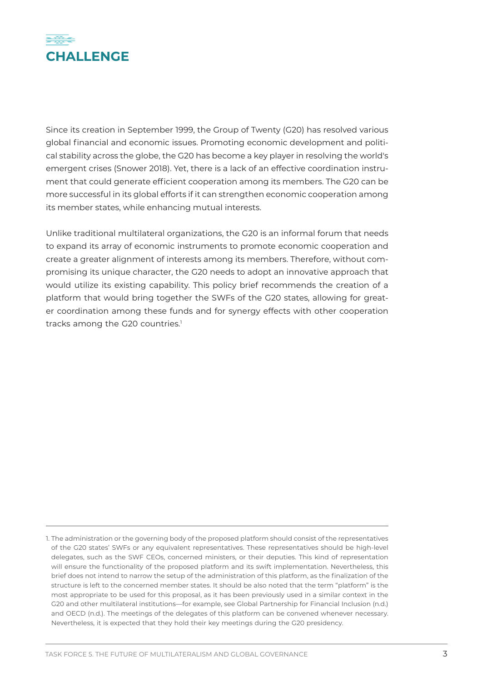

Since its creation in September 1999, the Group of Twenty (G20) has resolved various global financial and economic issues. Promoting economic development and political stability across the globe, the G20 has become a key player in resolving the world's emergent crises (Snower 2018). Yet, there is a lack of an effective coordination instrument that could generate efficient cooperation among its members. The G20 can be more successful in its global efforts if it can strengthen economic cooperation among its member states, while enhancing mutual interests.

Unlike traditional multilateral organizations, the G20 is an informal forum that needs to expand its array of economic instruments to promote economic cooperation and create a greater alignment of interests among its members. Therefore, without compromising its unique character, the G20 needs to adopt an innovative approach that would utilize its existing capability. This policy brief recommends the creation of a platform that would bring together the SWFs of the G20 states, allowing for greater coordination among these funds and for synergy effects with other cooperation tracks among the G20 countries.<sup>1</sup>

<sup>1.</sup> The administration or the governing body of the proposed platform should consist of the representatives of the G20 states' SWFs or any equivalent representatives. These representatives should be high-level delegates, such as the SWF CEOs, concerned ministers, or their deputies. This kind of representation will ensure the functionality of the proposed platform and its swift implementation. Nevertheless, this brief does not intend to narrow the setup of the administration of this platform, as the finalization of the structure is left to the concerned member states. It should be also noted that the term "platform" is the most appropriate to be used for this proposal, as it has been previously used in a similar context in the G20 and other multilateral institutions—for example, see Global Partnership for Financial Inclusion (n.d.) and OECD (n.d.). The meetings of the delegates of this platform can be convened whenever necessary. Nevertheless, it is expected that they hold their key meetings during the G20 presidency.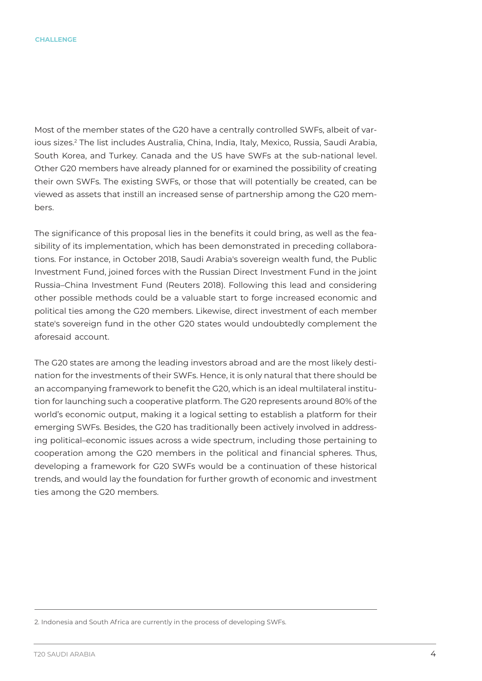Most of the member states of the G20 have a centrally controlled SWFs, albeit of various sizes.2 The list includes Australia, China, India, Italy, Mexico, Russia, Saudi Arabia, South Korea, and Turkey. Canada and the US have SWFs at the sub-national level. Other G20 members have already planned for or examined the possibility of creating their own SWFs. The existing SWFs, or those that will potentially be created, can be viewed as assets that instill an increased sense of partnership among the G20 members.

The significance of this proposal lies in the benefits it could bring, as well as the feasibility of its implementation, which has been demonstrated in preceding collaborations. For instance, in October 2018, Saudi Arabia's sovereign wealth fund, the Public Investment Fund, joined forces with the Russian Direct Investment Fund in the joint Russia–China Investment Fund (Reuters 2018). Following this lead and considering other possible methods could be a valuable start to forge increased economic and political ties among the G20 members. Likewise, direct investment of each member state's sovereign fund in the other G20 states would undoubtedly complement the aforesaid account.

The G20 states are among the leading investors abroad and are the most likely destination for the investments of their SWFs. Hence, it is only natural that there should be an accompanying framework to benefit the G20, which is an ideal multilateral institution for launching such a cooperative platform. The G20 represents around 80% of the world's economic output, making it a logical setting to establish a platform for their emerging SWFs. Besides, the G20 has traditionally been actively involved in addressing political–economic issues across a wide spectrum, including those pertaining to cooperation among the G20 members in the political and financial spheres. Thus, developing a framework for G20 SWFs would be a continuation of these historical trends, and would lay the foundation for further growth of economic and investment ties among the G20 members.

2. Indonesia and South Africa are currently in the process of developing SWFs.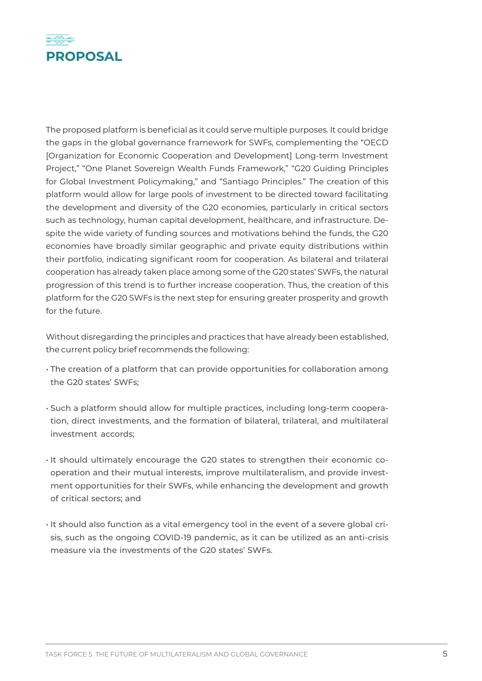

The proposed platform is beneficial as it could serve multiple purposes. It could bridge the gaps in the global governance framework for SWFs, complementing the "OECD [Organization for Economic Cooperation and Development] Long-term Investment Project," "One Planet Sovereign Wealth Funds Framework," "G20 Guiding Principles for Global Investment Policymaking," and "Santiago Principles." The creation of this platform would allow for large pools of investment to be directed toward facilitating the development and diversity of the G20 economies, particularly in critical sectors such as technology, human capital development, healthcare, and infrastructure. Despite the wide variety of funding sources and motivations behind the funds, the G20 economies have broadly similar geographic and private equity distributions within their portfolio, indicating significant room for cooperation. As bilateral and trilateral cooperation has already taken place among some of the G20 states' SWFs, the natural progression of this trend is to further increase cooperation. Thus, the creation of this platform for the G20 SWFs is the next step for ensuring greater prosperity and growth for the future.

Without disregarding the principles and practices that have already been established, the current policy brief recommends the following:

- The creation of a platform that can provide opportunities for collaboration among the G20 states' SWFs;
- Such a platform should allow for multiple practices, including long-term cooperation, direct investments, and the formation of bilateral, trilateral, and multilateral investment accords;
- It should ultimately encourage the G20 states to strengthen their economic cooperation and their mutual interests, improve multilateralism, and provide investment opportunities for their SWFs, while enhancing the development and growth of critical sectors; and
- It should also function as a vital emergency tool in the event of a severe global crisis, such as the ongoing COVID-19 pandemic, as it can be utilized as an anti-crisis measure via the investments of the G20 states' SWFs.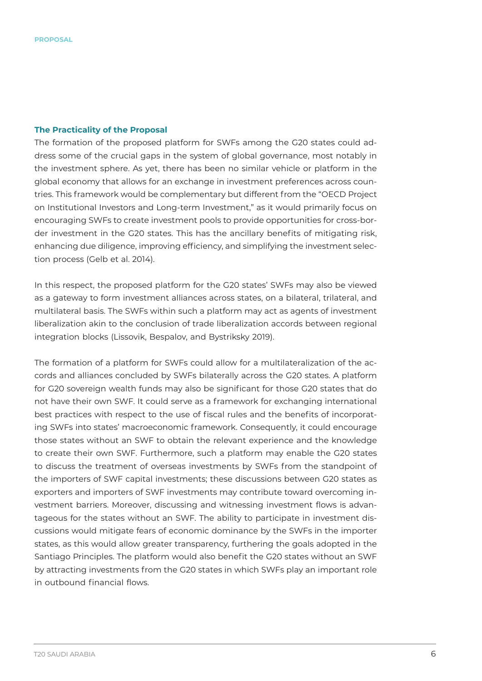#### **The Practicality of the Proposal**

The formation of the proposed platform for SWFs among the G20 states could address some of the crucial gaps in the system of global governance, most notably in the investment sphere. As yet, there has been no similar vehicle or platform in the global economy that allows for an exchange in investment preferences across countries. This framework would be complementary but different from the "OECD Project on Institutional Investors and Long-term Investment," as it would primarily focus on encouraging SWFs to create investment pools to provide opportunities for cross-border investment in the G20 states. This has the ancillary benefits of mitigating risk, enhancing due diligence, improving efficiency, and simplifying the investment selection process (Gelb et al. 2014).

In this respect, the proposed platform for the G20 states' SWFs may also be viewed as a gateway to form investment alliances across states, on a bilateral, trilateral, and multilateral basis. The SWFs within such a platform may act as agents of investment liberalization akin to the conclusion of trade liberalization accords between regional integration blocks (Lissovik, Bespalov, and Bystriksky 2019).

The formation of a platform for SWFs could allow for a multilateralization of the accords and alliances concluded by SWFs bilaterally across the G20 states. A platform for G20 sovereign wealth funds may also be significant for those G20 states that do not have their own SWF. It could serve as a framework for exchanging international best practices with respect to the use of fiscal rules and the benefits of incorporating SWFs into states' macroeconomic framework. Consequently, it could encourage those states without an SWF to obtain the relevant experience and the knowledge to create their own SWF. Furthermore, such a platform may enable the G20 states to discuss the treatment of overseas investments by SWFs from the standpoint of the importers of SWF capital investments; these discussions between G20 states as exporters and importers of SWF investments may contribute toward overcoming investment barriers. Moreover, discussing and witnessing investment flows is advantageous for the states without an SWF. The ability to participate in investment discussions would mitigate fears of economic dominance by the SWFs in the importer states, as this would allow greater transparency, furthering the goals adopted in the Santiago Principles. The platform would also benefit the G20 states without an SWF by attracting investments from the G20 states in which SWFs play an important role in outbound financial flows.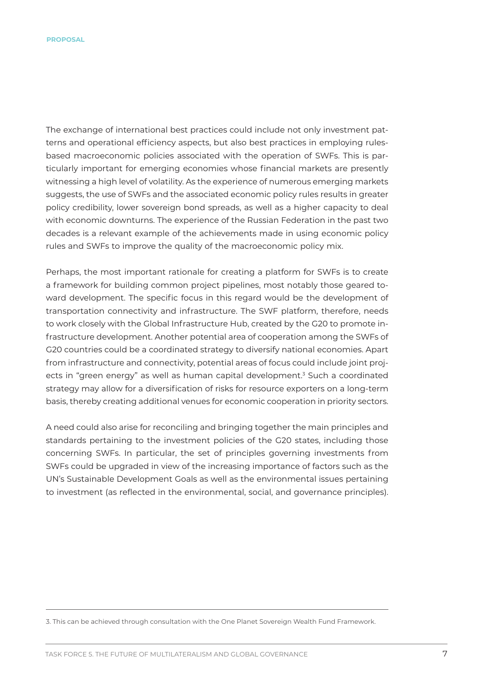The exchange of international best practices could include not only investment patterns and operational efficiency aspects, but also best practices in employing rulesbased macroeconomic policies associated with the operation of SWFs. This is particularly important for emerging economies whose financial markets are presently witnessing a high level of volatility. As the experience of numerous emerging markets suggests, the use of SWFs and the associated economic policy rules results in greater policy credibility, lower sovereign bond spreads, as well as a higher capacity to deal with economic downturns. The experience of the Russian Federation in the past two decades is a relevant example of the achievements made in using economic policy rules and SWFs to improve the quality of the macroeconomic policy mix.

Perhaps, the most important rationale for creating a platform for SWFs is to create a framework for building common project pipelines, most notably those geared toward development. The specific focus in this regard would be the development of transportation connectivity and infrastructure. The SWF platform, therefore, needs to work closely with the Global Infrastructure Hub, created by the G20 to promote infrastructure development. Another potential area of cooperation among the SWFs of G20 countries could be a coordinated strategy to diversify national economies. Apart from infrastructure and connectivity, potential areas of focus could include joint projects in "green energy" as well as human capital development.<sup>3</sup> Such a coordinated strategy may allow for a diversification of risks for resource exporters on a long-term basis, thereby creating additional venues for economic cooperation in priority sectors.

A need could also arise for reconciling and bringing together the main principles and standards pertaining to the investment policies of the G20 states, including those concerning SWFs. In particular, the set of principles governing investments from SWFs could be upgraded in view of the increasing importance of factors such as the UN's Sustainable Development Goals as well as the environmental issues pertaining to investment (as reflected in the environmental, social, and governance principles).

<sup>3.</sup> This can be achieved through consultation with the One Planet Sovereign Wealth Fund Framework.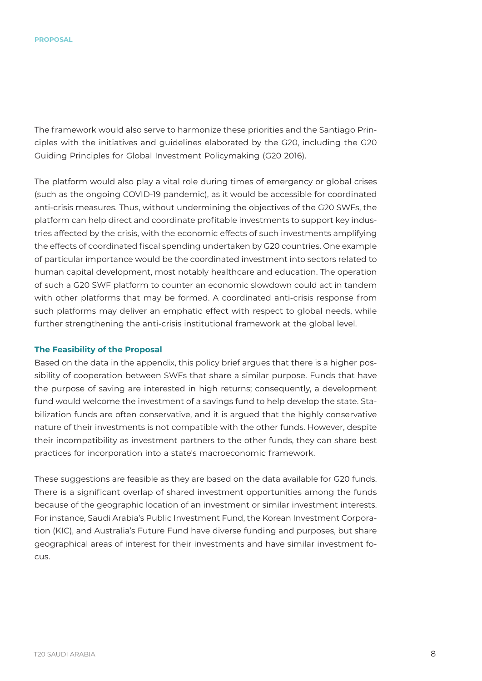The framework would also serve to harmonize these priorities and the Santiago Principles with the initiatives and guidelines elaborated by the G20, including the G20 Guiding Principles for Global Investment Policymaking (G20 2016).

The platform would also play a vital role during times of emergency or global crises (such as the ongoing COVID-19 pandemic), as it would be accessible for coordinated anti-crisis measures. Thus, without undermining the objectives of the G20 SWFs, the platform can help direct and coordinate profitable investments to support key industries affected by the crisis, with the economic effects of such investments amplifying the effects of coordinated fiscal spending undertaken by G20 countries. One example of particular importance would be the coordinated investment into sectors related to human capital development, most notably healthcare and education. The operation of such a G20 SWF platform to counter an economic slowdown could act in tandem with other platforms that may be formed. A coordinated anti-crisis response from such platforms may deliver an emphatic effect with respect to global needs, while further strengthening the anti-crisis institutional framework at the global level.

#### **The Feasibility of the Proposal**

Based on the data in the appendix, this policy brief argues that there is a higher possibility of cooperation between SWFs that share a similar purpose. Funds that have the purpose of saving are interested in high returns; consequently, a development fund would welcome the investment of a savings fund to help develop the state. Stabilization funds are often conservative, and it is argued that the highly conservative nature of their investments is not compatible with the other funds. However, despite their incompatibility as investment partners to the other funds, they can share best practices for incorporation into a state's macroeconomic framework.

These suggestions are feasible as they are based on the data available for G20 funds. There is a significant overlap of shared investment opportunities among the funds because of the geographic location of an investment or similar investment interests. For instance, Saudi Arabia's Public Investment Fund, the Korean Investment Corporation (KIC), and Australia's Future Fund have diverse funding and purposes, but share geographical areas of interest for their investments and have similar investment focus.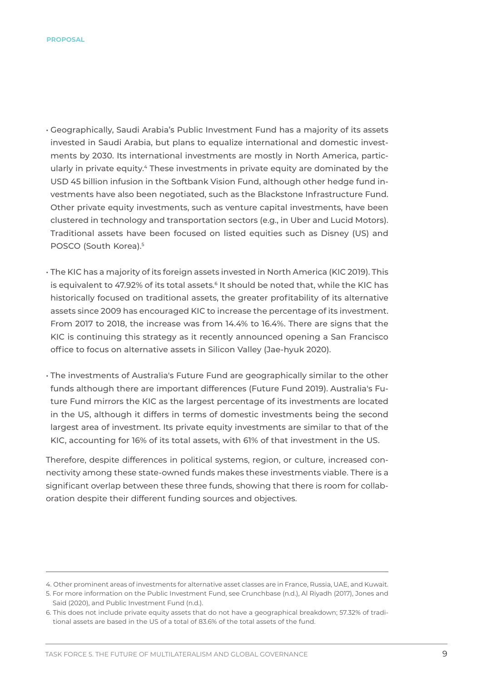- Geographically, Saudi Arabia's Public Investment Fund has a majority of its assets invested in Saudi Arabia, but plans to equalize international and domestic investments by 2030. Its international investments are mostly in North America, particularly in private equity.<sup>4</sup> These investments in private equity are dominated by the USD 45 billion infusion in the Softbank Vision Fund, although other hedge fund investments have also been negotiated, such as the Blackstone Infrastructure Fund. Other private equity investments, such as venture capital investments, have been clustered in technology and transportation sectors (e.g., in Uber and Lucid Motors). Traditional assets have been focused on listed equities such as Disney (US) and POSCO (South Korea).<sup>5</sup>
- The KIC has a majority of its foreign assets invested in North America (KIC 2019). This is equivalent to 47.92% of its total assets.<sup>6</sup> It should be noted that, while the KIC has historically focused on traditional assets, the greater profitability of its alternative assets since 2009 has encouraged KIC to increase the percentage of its investment. From 2017 to 2018, the increase was from 14.4% to 16.4%. There are signs that the KIC is continuing this strategy as it recently announced opening a San Francisco office to focus on alternative assets in Silicon Valley (Jae-hyuk 2020).
- The investments of Australia's Future Fund are geographically similar to the other funds although there are important differences (Future Fund 2019). Australia's Future Fund mirrors the KIC as the largest percentage of its investments are located in the US, although it differs in terms of domestic investments being the second largest area of investment. Its private equity investments are similar to that of the KIC, accounting for 16% of its total assets, with 61% of that investment in the US.

Therefore, despite differences in political systems, region, or culture, increased connectivity among these state-owned funds makes these investments viable. There is a significant overlap between these three funds, showing that there is room for collaboration despite their different funding sources and objectives.

<sup>4.</sup> Other prominent areas of investments for alternative asset classes are in France, Russia, UAE, and Kuwait.

<sup>5.</sup> For more information on the Public Investment Fund, see Crunchbase (n.d.), Al Riyadh (2017), Jones and Said (2020), and Public Investment Fund (n.d.).

<sup>6.</sup> This does not include private equity assets that do not have a geographical breakdown; 57.32% of traditional assets are based in the US of a total of 83.6% of the total assets of the fund.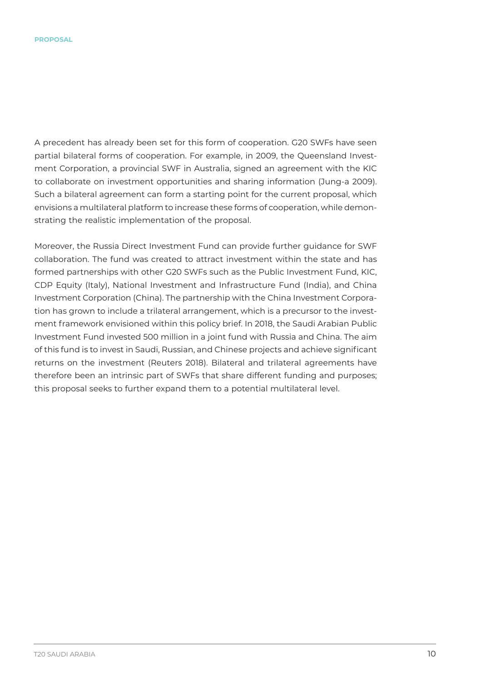A precedent has already been set for this form of cooperation. G20 SWFs have seen partial bilateral forms of cooperation. For example, in 2009, the Queensland Investment Corporation, a provincial SWF in Australia, signed an agreement with the KIC to collaborate on investment opportunities and sharing information (Jung-a 2009). Such a bilateral agreement can form a starting point for the current proposal, which envisions a multilateral platform to increase these forms of cooperation, while demonstrating the realistic implementation of the proposal.

Moreover, the Russia Direct Investment Fund can provide further guidance for SWF collaboration. The fund was created to attract investment within the state and has formed partnerships with other G20 SWFs such as the Public Investment Fund, KIC, CDP Equity (Italy), National Investment and Infrastructure Fund (India), and China Investment Corporation (China). The partnership with the China Investment Corporation has grown to include a trilateral arrangement, which is a precursor to the investment framework envisioned within this policy brief. In 2018, the Saudi Arabian Public Investment Fund invested 500 million in a joint fund with Russia and China. The aim of this fund is to invest in Saudi, Russian, and Chinese projects and achieve significant returns on the investment (Reuters 2018). Bilateral and trilateral agreements have therefore been an intrinsic part of SWFs that share different funding and purposes; this proposal seeks to further expand them to a potential multilateral level.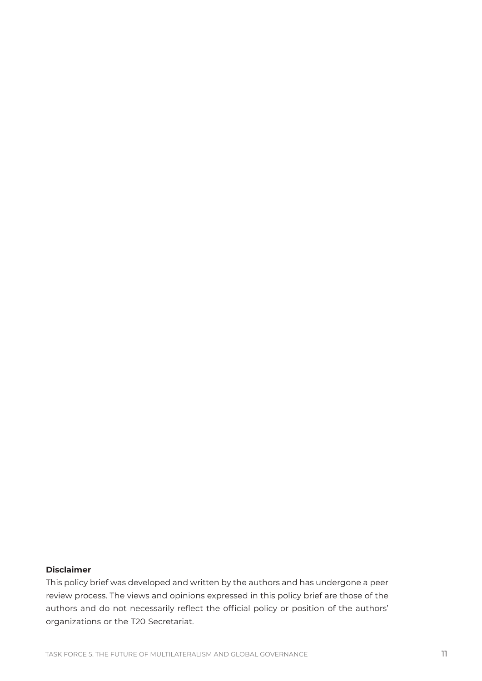### **Disclaimer**

This policy brief was developed and written by the authors and has undergone a peer review process. The views and opinions expressed in this policy brief are those of the authors and do not necessarily reflect the official policy or position of the authors' organizations or the T20 Secretariat.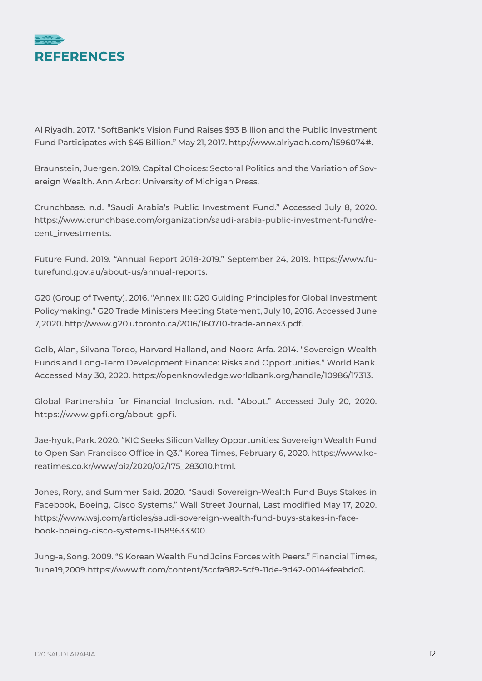

Al Riyadh. 2017. "SoftBank's Vision Fund Raises \$93 Billion and the Public Investment Fund Participates with \$45 Billion." May 21, 2017. http://www.alriyadh.com/1596074#.

Braunstein, Juergen. 2019. Capital Choices: Sectoral Politics and the Variation of Sovereign Wealth. Ann Arbor: University of Michigan Press.

Crunchbase. n.d. "Saudi Arabia's Public Investment Fund." Accessed July 8, 2020. https://www.crunchbase.com/organization/saudi-arabia-public-investment-fund/recent\_investments.

Future Fund. 2019. "Annual Report 2018-2019." September 24, 2019. https://www.futurefund.gov.au/about-us/annual-reports.

G20 (Group of Twenty). 2016. "Annex III: G20 Guiding Principles for Global Investment Policymaking." G20 Trade Ministers Meeting Statement, July 10, 2016. Accessed June 7, 2020. http://www.g20.utoronto.ca/2016/160710-trade-annex3.pdf.

Gelb, Alan, Silvana Tordo, Harvard Halland, and Noora Arfa. 2014. "Sovereign Wealth Funds and Long-Term Development Finance: Risks and Opportunities." World Bank. Accessed May 30, 2020. https://openknowledge.worldbank.org/handle/10986/17313.

Global Partnership for Financial Inclusion. n.d. "About." Accessed July 20, 2020. https://www.gpfi.org/about-gpfi.

Jae-hyuk, Park. 2020. "KIC Seeks Silicon Valley Opportunities: Sovereign Wealth Fund to Open San Francisco Office in Q3." Korea Times, February 6, 2020. https://www.koreatimes.co.kr/www/biz/2020/02/175\_283010.html.

Jones, Rory, and Summer Said. 2020. "Saudi Sovereign-Wealth Fund Buys Stakes in Facebook, Boeing, Cisco Systems," Wall Street Journal, Last modified May 17, 2020. https://www.wsj.com/articles/saudi-sovereign-wealth-fund-buys-stakes-in-facebook-boeing-cisco-systems-11589633300.

Jung-a, Song. 2009. "S Korean Wealth Fund Joins Forces with Peers." Financial Times, June 19, 2009. https://www.ft.com/content/3ccfa982-5cf9-11de-9d42-00144feabdc0.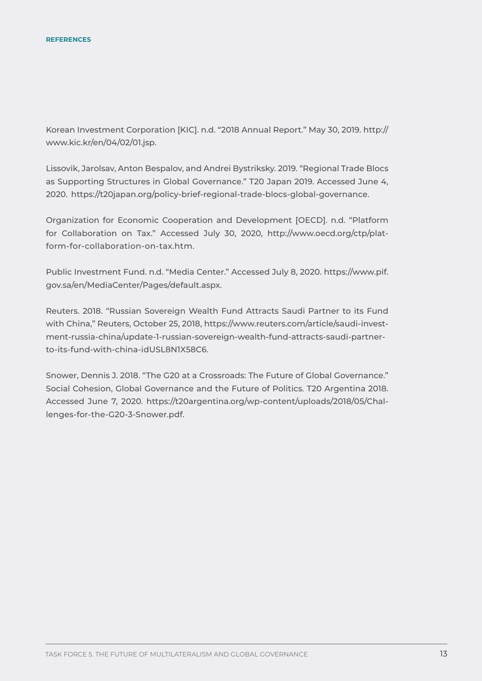Korean Investment Corporation [KIC]. n.d. "2018 Annual Report." May 30, 2019. http:// www.kic.kr/en/04/02/01.jsp.

Lissovik, Jarolsav, Anton Bespalov, and Andrei Bystriksky. 2019. "Regional Trade Blocs as Supporting Structures in Global Governance." T20 Japan 2019. Accessed June 4, 2020. https://t20japan.org/policy-brief-regional-trade-blocs-global-governance.

Organization for Economic Cooperation and Development [OECD]. n.d. "Platform for Collaboration on Tax." Accessed July 30, 2020, http://www.oecd.org/ctp/platform-for-collaboration-on-tax.htm.

Public Investment Fund. n.d. "Media Center." Accessed July 8, 2020. https://www.pif. gov.sa/en/MediaCenter/Pages/default.aspx.

Reuters. 2018. "Russian Sovereign Wealth Fund Attracts Saudi Partner to its Fund with China," Reuters, October 25, 2018, https://www.reuters.com/article/saudi-investment-russia-china/update-1-russian-sovereign-wealth-fund-attracts-saudi-partnerto-its-fund-with-china-idUSL8N1X58C6.

Snower, Dennis J. 2018. "The G20 at a Crossroads: The Future of Global Governance." Social Cohesion, Global Governance and the Future of Politics. T20 Argentina 2018. Accessed June 7, 2020. https://t20argentina.org/wp-content/uploads/2018/05/Challenges-for-the-G20-3-Snower.pdf.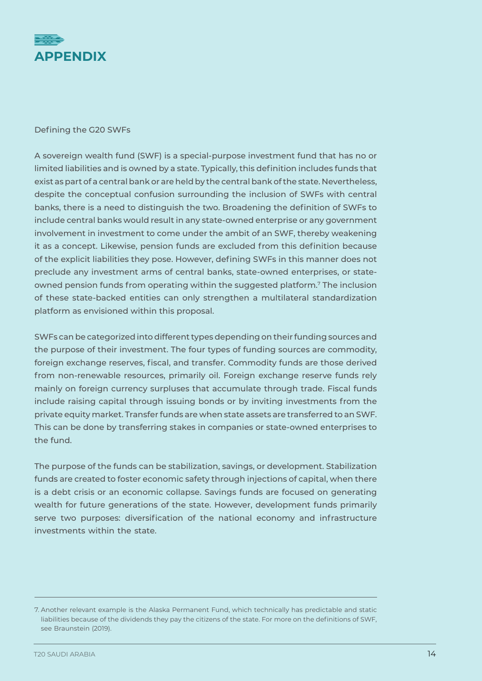

Defining the G20 SWFs

A sovereign wealth fund (SWF) is a special-purpose investment fund that has no or limited liabilities and is owned by a state. Typically, this definition includes funds that exist as part of a central bank or are held by the central bank of the state. Nevertheless, despite the conceptual confusion surrounding the inclusion of SWFs with central banks, there is a need to distinguish the two. Broadening the definition of SWFs to include central banks would result in any state-owned enterprise or any government involvement in investment to come under the ambit of an SWF, thereby weakening it as a concept. Likewise, pension funds are excluded from this definition because of the explicit liabilities they pose. However, defining SWFs in this manner does not preclude any investment arms of central banks, state-owned enterprises, or stateowned pension funds from operating within the suggested platform.7 The inclusion of these state-backed entities can only strengthen a multilateral standardization platform as envisioned within this proposal.

SWFs can be categorized into different types depending on their funding sources and the purpose of their investment. The four types of funding sources are commodity, foreign exchange reserves, fiscal, and transfer. Commodity funds are those derived from non-renewable resources, primarily oil. Foreign exchange reserve funds rely mainly on foreign currency surpluses that accumulate through trade. Fiscal funds include raising capital through issuing bonds or by inviting investments from the private equity market. Transfer funds are when state assets are transferred to an SWF. This can be done by transferring stakes in companies or state-owned enterprises to the fund.

The purpose of the funds can be stabilization, savings, or development. Stabilization funds are created to foster economic safety through injections of capital, when there is a debt crisis or an economic collapse. Savings funds are focused on generating wealth for future generations of the state. However, development funds primarily serve two purposes: diversification of the national economy and infrastructure investments within the state.

<sup>7.</sup> Another relevant example is the Alaska Permanent Fund, which technically has predictable and static liabilities because of the dividends they pay the citizens of the state. For more on the definitions of SWF, see Braunstein (2019).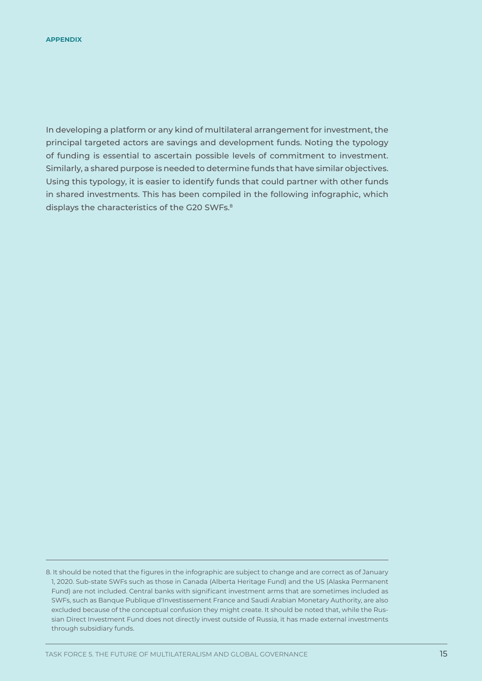In developing a platform or any kind of multilateral arrangement for investment, the principal targeted actors are savings and development funds. Noting the typology of funding is essential to ascertain possible levels of commitment to investment. Similarly, a shared purpose is needed to determine funds that have similar objectives. Using this typology, it is easier to identify funds that could partner with other funds in shared investments. This has been compiled in the following infographic, which displays the characteristics of the G20 SWFs.<sup>8</sup>

<sup>8.</sup> It should be noted that the figures in the infographic are subject to change and are correct as of January 1, 2020. Sub-state SWFs such as those in Canada (Alberta Heritage Fund) and the US (Alaska Permanent Fund) are not included. Central banks with significant investment arms that are sometimes included as SWFs, such as Banque Publique d'Investissement France and Saudi Arabian Monetary Authority, are also excluded because of the conceptual confusion they might create. It should be noted that, while the Russian Direct Investment Fund does not directly invest outside of Russia, it has made external investments through subsidiary funds.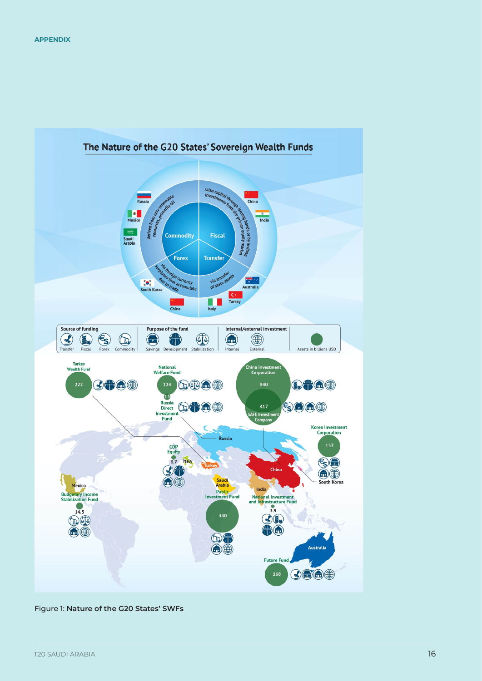

Figure 1: **Nature of the G20 States' SWFs**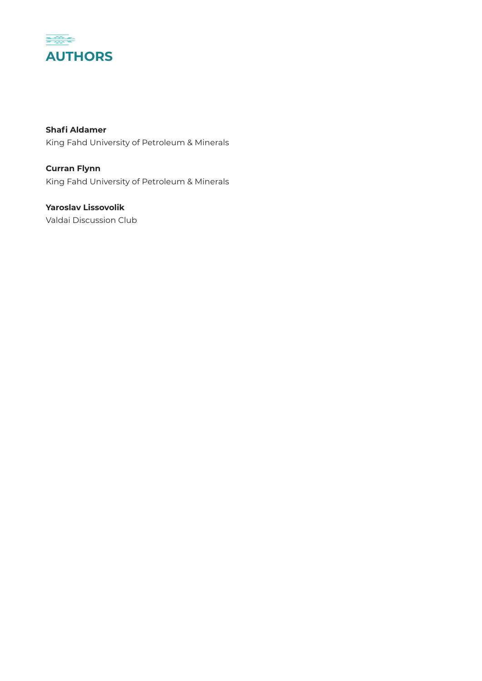

**Shafi Aldamer**  King Fahd University of Petroleum & Minerals

**Curran Flynn**  King Fahd University of Petroleum & Minerals

**Yaroslav Lissovolik**  Valdai Discussion Club